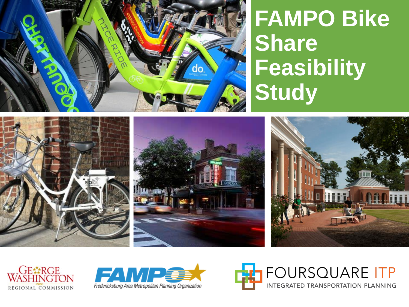

### **FAMPO Bike Share Feasibility Study**







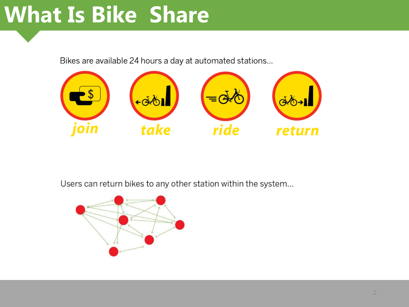### **What Is Bike Share**

Bikes are available 24 hours a day at automated stations...



Users can return bikes to any other station within the system...

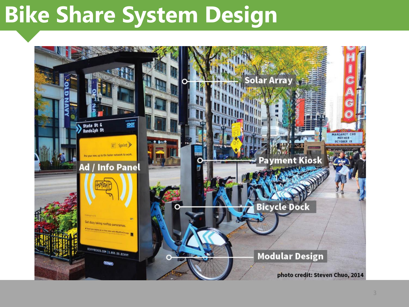## **Bike Share System Design**

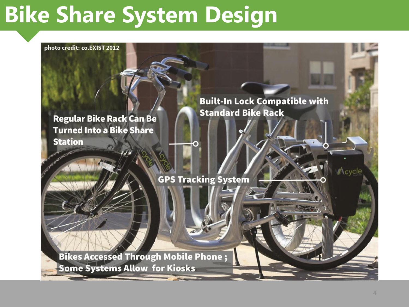## **Bike Share System Design**

photo credit: co.EXIST 2012

**Regular Bike Rack Can Be Turned Into a Bike Share Station** 

**Built-In Lock Compatible with Standard Bike Rack** 

**GPS Tracking System** 

**Bikes Accessed Through Mobile Phone; Some Systems Allow for Kiosks** 

Acycle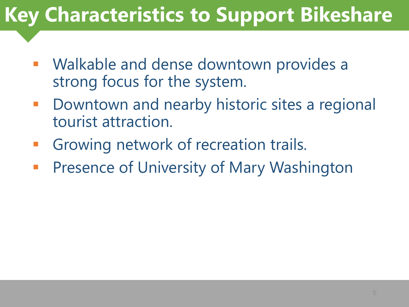#### **Key Characteristics to Support Bikeshare**

- Walkable and dense downtown provides a strong focus for the system.
- Downtown and nearby historic sites a regional tourist attraction.
- **Growing network of recreation trails.**
- **Presence of University of Mary Washington**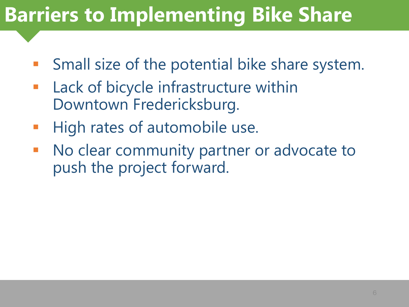#### **Barriers to Implementing Bike Share**

- Small size of the potential bike share system.
- Lack of bicycle infrastructure within Downtown Fredericksburg.
- **High rates of automobile use.**
- No clear community partner or advocate to push the project forward.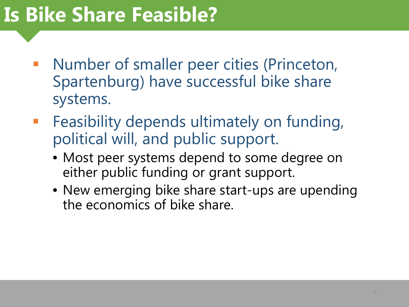#### **Is Bike Share Feasible?**

- Number of smaller peer cities (Princeton, Spartenburg) have successful bike share systems.
- **Feasibility depends ultimately on funding,** political will, and public support.
	- Most peer systems depend to some degree on either public funding or grant support.
	- New emerging bike share start-ups are upending the economics of bike share.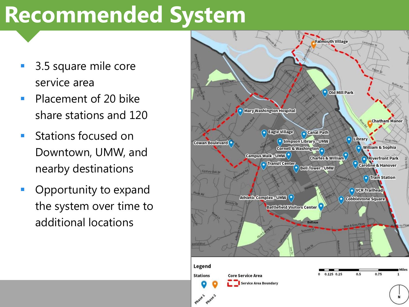### **Recommended System**

- 3.5 square mile core service area
- **Placement of 20 bike** share stations and 120
- **Stations focused on** Downtown, UMW, and nearby destinations
- **Opportunity to expand** the system over time to additional locations

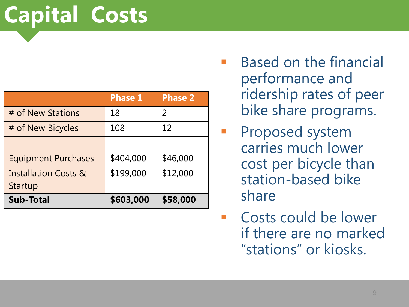## **Capital Costs**

|                                 | <b>Phase 1</b> | <b>Phase 2</b> |
|---------------------------------|----------------|----------------|
| # of New Stations               | 18             | 2              |
| # of New Bicycles               | 108            | 12             |
|                                 |                |                |
| <b>Equipment Purchases</b>      | \$404,000      | \$46,000       |
| <b>Installation Costs &amp;</b> | \$199,000      | \$12,000       |
| <b>Startup</b>                  |                |                |
| <b>Sub-Total</b>                | \$603,000      | \$58,000       |

- Based on the financial performance and ridership rates of peer bike share programs.
- Proposed system carries much lower cost per bicycle than station-based bike share
- Costs could be lower if there are no marked "stations" or kiosks.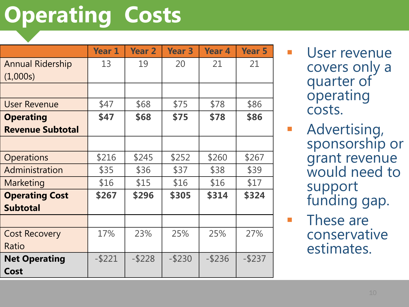# **Operating Costs**

|                         | <b>Year 1</b> | <b>Year 2</b> | <b>Year 3</b> | Year <sub>4</sub> | <b>Year 5</b> |
|-------------------------|---------------|---------------|---------------|-------------------|---------------|
| <b>Annual Ridership</b> | 13            | 19            | 20            | 21                | 21            |
| (1,000s)                |               |               |               |                   |               |
|                         |               |               |               |                   |               |
| <b>User Revenue</b>     | \$47          | \$68          | \$75          | \$78              | \$86          |
| <b>Operating</b>        | \$47          | \$68          | \$75          | \$78              | \$86          |
| <b>Revenue Subtotal</b> |               |               |               |                   |               |
|                         |               |               |               |                   |               |
| <b>Operations</b>       | \$216         | \$245         | \$252         | \$260             | \$267         |
| Administration          | \$35          | \$36          | \$37          | \$38              | \$39          |
| Marketing               | \$16          | \$15          | \$16          | \$16              | \$17          |
| <b>Operating Cost</b>   | \$267         | \$296         | \$305         | \$314             | \$324         |
| <b>Subtotal</b>         |               |               |               |                   |               |
|                         |               |               |               |                   |               |
| <b>Cost Recovery</b>    | 17%           | 23%           | 25%           | 25%               | 27%           |
| Ratio                   |               |               |               |                   |               |
| <b>Net Operating</b>    | $-$ \$221     | $-$ \$228     | $-$ \$230     | $-$ \$236         | $-$ \$237     |
| Cost                    |               |               |               |                   |               |

 User revenue covers only a quarter of operating costs.

 Advertising, sponsorship or grant revenue would need to support funding gap.

**These are** conservative estimates.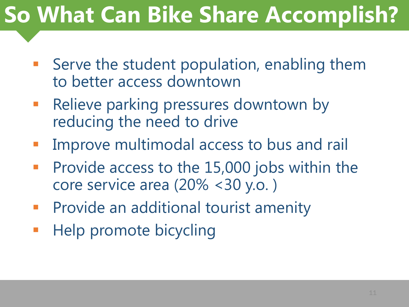# **So What Can Bike Share Accomplish?**

- Serve the student population, enabling them to better access downtown
- Relieve parking pressures downtown by reducing the need to drive
- Improve multimodal access to bus and rail
- **Provide access to the 15,000 jobs within the** core service area (20% <30 y.o. )
- Provide an additional tourist amenity
- Help promote bicycling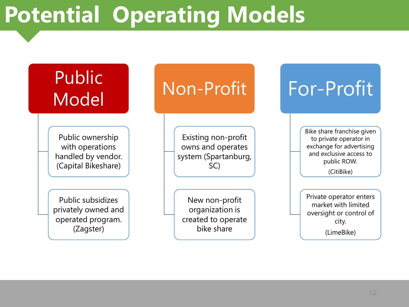## **Potential Operating Models**